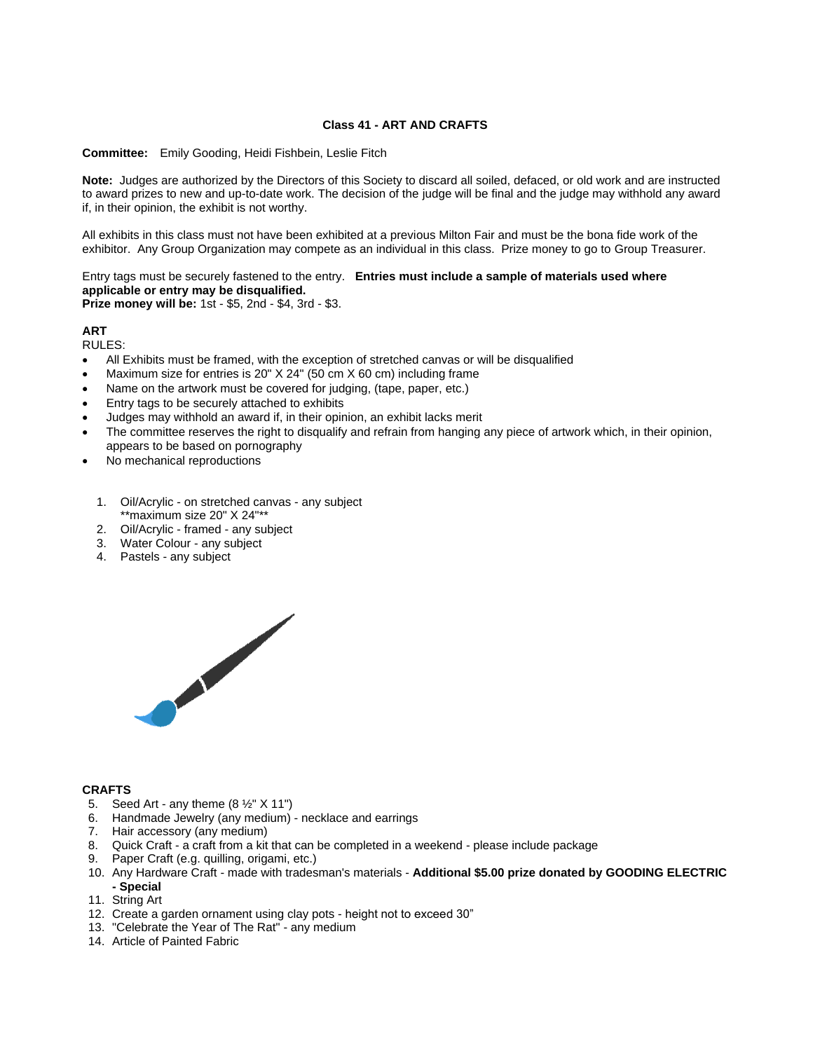## **Class 41 - ART AND CRAFTS**

**Committee:** Emily Gooding, Heidi Fishbein, Leslie Fitch

**Note:** Judges are authorized by the Directors of this Society to discard all soiled, defaced, or old work and are instructed to award prizes to new and up-to-date work. The decision of the judge will be final and the judge may withhold any award if, in their opinion, the exhibit is not worthy.

All exhibits in this class must not have been exhibited at a previous Milton Fair and must be the bona fide work of the exhibitor. Any Group Organization may compete as an individual in this class. Prize money to go to Group Treasurer.

Entry tags must be securely fastened to the entry. **Entries must include a sample of materials used where applicable or entry may be disqualified.**

**Prize money will be:** 1st - \$5, 2nd - \$4, 3rd - \$3.

# **ART**

RULES:

- All Exhibits must be framed, with the exception of stretched canvas or will be disqualified
- Maximum size for entries is 20" X 24" (50 cm X 60 cm) including frame
- Name on the artwork must be covered for judging, (tape, paper, etc.)
- Entry tags to be securely attached to exhibits
- Judges may withhold an award if, in their opinion, an exhibit lacks merit
- The committee reserves the right to disqualify and refrain from hanging any piece of artwork which, in their opinion, appears to be based on pornography
- No mechanical reproductions
	- 1. Oil/Acrylic on stretched canvas any subject \*\*maximum size 20" X 24"\*\*
	- 2. Oil/Acrylic framed any subject
	- 3. Water Colour any subject
	- 4. Pastels any subject



### **CRAFTS**

- 5. Seed Art any theme  $(8 \frac{1}{2}$ " X 11")
- 6. Handmade Jewelry (any medium) necklace and earrings
- 7. Hair accessory (any medium)
- 8. Quick Craft a craft from a kit that can be completed in a weekend please include package
- 9. Paper Craft (e.g. quilling, origami, etc.)
- 10. Any Hardware Craft made with tradesman's materials **Additional \$5.00 prize donated by GOODING ELECTRIC - Special**
- 11. String Art
- 12. Create a garden ornament using clay pots height not to exceed 30"
- 13. "Celebrate the Year of The Rat" any medium
- 14. Article of Painted Fabric